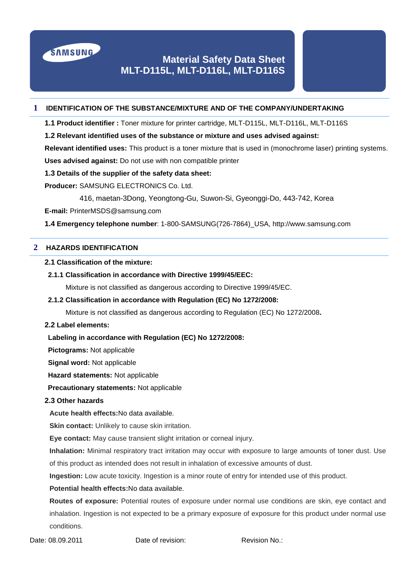

# **Material Safety Data Sheet MLT-D115L, MLT-D116L, MLT-D116S**

## **1 IDENTIFICATION OF THE SUBSTANCE/MIXTURE AND OF THE COMPANY/UNDERTAKING**

**1.1 Product identifier :** Toner mixture for printer cartridge, MLT-D115L, MLT-D116L, MLT-D116S

**1.2 Relevant identified uses of the substance or mixture and uses advised against:** 

**Relevant identified uses:** This product is a toner mixture that is used in (monochrome laser) printing systems.

**Uses advised against:** Do not use with non compatible printer

## **1.3 Details of the supplier of the safety data sheet:**

**Producer:** SAMSUNG ELECTRONICS Co. Ltd.

416, maetan-3Dong, Yeongtong-Gu, Suwon-Si, Gyeonggi-Do, 443-742, Korea

**E-mail:** PrinterMSDS@samsung.com

**1.4 Emergency telephone number**: 1-800-SAMSUNG(726-7864)\_USA, http://www.samsung.com

## **2 HAZARDS IDENTIFICATION**

## **2.1 Classification of the mixture:**

**2.1.1 Classification in accordance with Directive 1999/45/EEC:** 

Mixture is not classified as dangerous according to Directive 1999/45/EC.

## **2.1.2 Classification in accordance with Regulation (EC) No 1272/2008:**

Mixture is not classified as dangerous according to Regulation (EC) No 1272/2008**.**

## **2.2 Label elements:**

**Labeling in accordance with Regulation (EC) No 1272/2008:**

**Pictograms:** Not applicable

**Signal word:** Not applicable

**Hazard statements:** Not applicable

**Precautionary statements:** Not applicable

## **2.3 Other hazards**

**Acute health effects:**No data available.

**Skin contact:** Unlikely to cause skin irritation.

**Eye contact:** May cause transient slight irritation or corneal injury.

**Inhalation:** Minimal respiratory tract irritation may occur with exposure to large amounts of toner dust. Use of this product as intended does not result in inhalation of excessive amounts of dust.

**Ingestion:** Low acute toxicity. Ingestion is a minor route of entry for intended use of this product.

# **Potential health effects:**No data available.

**Routes of exposure:** Potential routes of exposure under normal use conditions are skin, eye contact and inhalation. Ingestion is not expected to be a primary exposure of exposure for this product under normal use conditions.

# Date: 08.09.2011 Date of revision: Revision No.: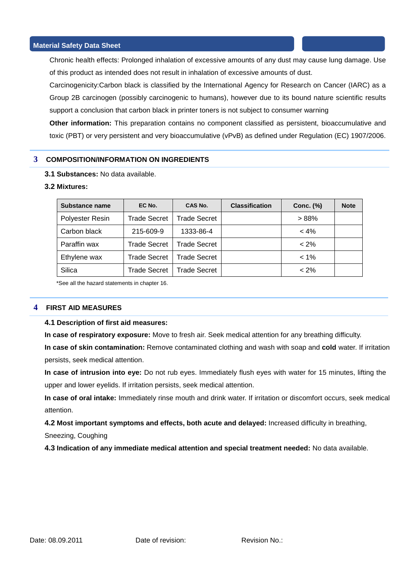Chronic health effects: Prolonged inhalation of excessive amounts of any dust may cause lung damage. Use of this product as intended does not result in inhalation of excessive amounts of dust.

Carcinogenicity:Carbon black is classified by the International Agency for Research on Cancer (IARC) as a Group 2B carcinogen (possibly carcinogenic to humans), however due to its bound nature scientific results support a conclusion that carbon black in printer toners is not subject to consumer warning

**Other information:** This preparation contains no component classified as persistent, bioaccumulative and toxic (PBT) or very persistent and very bioaccumulative (vPvB) as defined under Regulation (EC) 1907/2006.

## **3 COMPOSITION/INFORMATION ON INGREDIENTS**

**3.1 Substances:** No data available.

## **3.2 Mixtures:**

| Substance name  | EC No.              | CAS No.             | <b>Classification</b> | Conc. (%) | <b>Note</b> |
|-----------------|---------------------|---------------------|-----------------------|-----------|-------------|
| Polyester Resin | <b>Trade Secret</b> | <b>Trade Secret</b> |                       | >88%      |             |
| Carbon black    | 215-609-9           | 1333-86-4           |                       | $< 4\%$   |             |
| Paraffin wax    | <b>Trade Secret</b> | <b>Trade Secret</b> |                       | $< 2\%$   |             |
| Ethylene wax    | <b>Trade Secret</b> | <b>Trade Secret</b> |                       | $< 1\%$   |             |
| Silica          | <b>Trade Secret</b> | Trade Secret        |                       | $< 2\%$   |             |

\*See all the hazard statements in chapter 16.

## **4 FIRST AID MEASURES**

#### **4.1 Description of first aid measures:**

**In case of respiratory exposure:** Move to fresh air. Seek medical attention for any breathing difficulty.

**In case of skin contamination:** Remove contaminated clothing and wash with soap and **cold** water. If irritation persists, seek medical attention.

**In case of intrusion into eye:** Do not rub eyes. Immediately flush eyes with water for 15 minutes, lifting the upper and lower eyelids. If irritation persists, seek medical attention.

**In case of oral intake:** Immediately rinse mouth and drink water. If irritation or discomfort occurs, seek medical attention.

**4.2 Most important symptoms and effects, both acute and delayed:** Increased difficulty in breathing,

Sneezing, Coughing

**4.3 Indication of any immediate medical attention and special treatment needed:** No data available.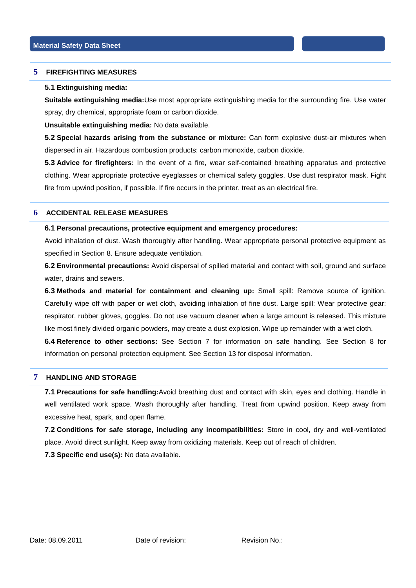## **5 FIREFIGHTING MEASURES**

#### **5.1 Extinguishing media:**

**Suitable extinguishing media:**Use most appropriate extinguishing media for the surrounding fire. Use water spray, dry chemical, appropriate foam or carbon dioxide.

**Unsuitable extinguishing media:** No data available.

**5.2 Special hazards arising from the substance or mixture:** Can form explosive dust-air mixtures when dispersed in air. Hazardous combustion products: carbon monoxide, carbon dioxide.

**5.3 Advice for firefighters:** In the event of a fire, wear self-contained breathing apparatus and protective clothing. Wear appropriate protective eyeglasses or chemical safety goggles. Use dust respirator mask. Fight fire from upwind position, if possible. If fire occurs in the printer, treat as an electrical fire.

## **6 ACCIDENTAL RELEASE MEASURES**

#### **6.1 Personal precautions, protective equipment and emergency procedures:**

Avoid inhalation of dust. Wash thoroughly after handling. Wear appropriate personal protective equipment as specified in Section 8. Ensure adequate ventilation.

**6.2 Environmental precautions:** Avoid dispersal of spilled material and contact with soil, ground and surface water, drains and sewers.

**6.3 Methods and material for containment and cleaning up:** Small spill: Remove source of ignition. Carefully wipe off with paper or wet cloth, avoiding inhalation of fine dust. Large spill: Wear protective gear: respirator, rubber gloves, goggles. Do not use vacuum cleaner when a large amount is released. This mixture like most finely divided organic powders, may create a dust explosion. Wipe up remainder with a wet cloth.

**6.4 Reference to other sections:** See Section 7 for information on safe handling. See Section 8 for information on personal protection equipment. See Section 13 for disposal information.

## **7 HANDLING AND STORAGE**

**7.1 Precautions for safe handling:**Avoid breathing dust and contact with skin, eyes and clothing. Handle in well ventilated work space. Wash thoroughly after handling. Treat from upwind position. Keep away from excessive heat, spark, and open flame.

**7.2 Conditions for safe storage, including any incompatibilities:** Store in cool, dry and well-ventilated place. Avoid direct sunlight. Keep away from oxidizing materials. Keep out of reach of children.

**7.3 Specific end use(s):** No data available.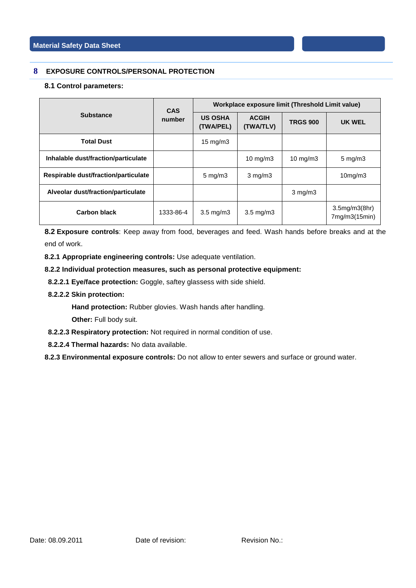## **8 EXPOSURE CONTROLS/PERSONAL PROTECTION**

#### **8.1 Control parameters:**

|                                      | <b>CAS</b><br>number | Workplace exposure limit (Threshold Limit value) |                           |                 |                                |
|--------------------------------------|----------------------|--------------------------------------------------|---------------------------|-----------------|--------------------------------|
| <b>Substance</b>                     |                      | <b>US OSHA</b><br>(TWA/PEL)                      | <b>ACGIH</b><br>(TWA/TLV) | <b>TRGS 900</b> | UK WEL                         |
| <b>Total Dust</b>                    |                      | 15 mg/m $3$                                      |                           |                 |                                |
| Inhalable dust/fraction/particulate  |                      |                                                  | 10 $mg/m3$                | 10 mg/m $3$     | $5 \text{ mg/m}$               |
| Respirable dust/fraction/particulate |                      | $5 \text{ mg/m}$ 3                               | $3 \text{ mg/m}$          |                 | 10mg/m3                        |
| Alveolar dust/fraction/particulate   |                      |                                                  |                           | $3$ mg/m $3$    |                                |
| Carbon black                         | 1333-86-4            | $3.5 \text{ mg/m}$                               | $3.5 \text{ mg/m}$        |                 | 3.5mg/m3(8hr)<br>7mg/m3(15min) |

**8.2 Exposure controls**: Keep away from food, beverages and feed. Wash hands before breaks and at the end of work.

**8.2.1 Appropriate engineering controls:** Use adequate ventilation.

**8.2.2 Individual protection measures, such as personal protective equipment:**

- **8.2.2.1 Eye/face protection:** Goggle, saftey glassess with side shield.
- **8.2.2.2 Skin protection:**

**Hand protection:** Rubber glovies. Wash hands after handling.

**Other: Full body suit.** 

- **8.2.2.3 Respiratory protection:** Not required in normal condition of use.
- **8.2.2.4 Thermal hazards:** No data available.

**8.2.3 Environmental exposure controls:** Do not allow to enter sewers and surface or ground water.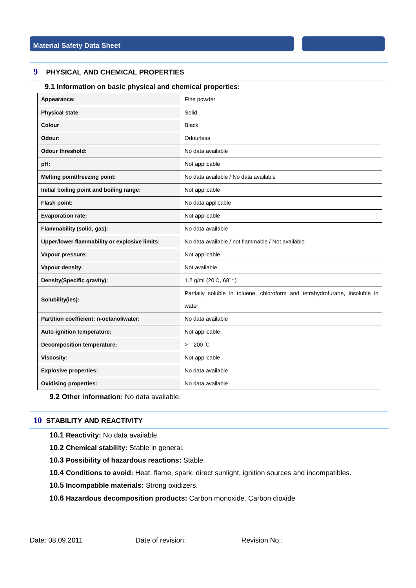## **9 PHYSICAL AND CHEMICAL PROPERTIES**

## **9.1 Information on basic physical and chemical properties:**

| Appearance:                                   | Fine powder                                                                 |  |  |  |  |
|-----------------------------------------------|-----------------------------------------------------------------------------|--|--|--|--|
| <b>Physical state</b>                         | Solid                                                                       |  |  |  |  |
| Colour                                        | <b>Black</b>                                                                |  |  |  |  |
| Odour:                                        | Odourless                                                                   |  |  |  |  |
| <b>Odour threshold:</b>                       | No data available                                                           |  |  |  |  |
| pH:                                           | Not applicable                                                              |  |  |  |  |
| Melting point/freezing point:                 | No data available / No data available                                       |  |  |  |  |
| Initial boiling point and boiling range:      | Not applicable                                                              |  |  |  |  |
| Flash point:                                  | No data applicable                                                          |  |  |  |  |
| <b>Evaporation rate:</b>                      | Not applicable                                                              |  |  |  |  |
| Flammability (solid, gas):                    | No data available                                                           |  |  |  |  |
| Upper/lower flammability or explosive limits: | No data available / not flammable / Not available                           |  |  |  |  |
| Vapour pressure:                              | Not applicable                                                              |  |  |  |  |
| Vapour density:                               | Not available                                                               |  |  |  |  |
| Density(Specific gravity):                    | 1.2 g/ml $(20^{\circ}C, 68^{\circ}F)$                                       |  |  |  |  |
| Solubility(ies):                              | Partially soluble in toluene, chloroform and tetrahydrofurane, insoluble in |  |  |  |  |
|                                               | water                                                                       |  |  |  |  |
| Partition coefficient: n-octanol/water:       | No data available                                                           |  |  |  |  |
| Auto-ignition temperature:                    | Not applicable                                                              |  |  |  |  |
| <b>Decomposition temperature:</b>             | $>200$ $\degree$                                                            |  |  |  |  |
| <b>Viscosity:</b>                             | Not applicable                                                              |  |  |  |  |
| <b>Explosive properties:</b>                  | No data available                                                           |  |  |  |  |
| <b>Oxidising properties:</b>                  | No data available                                                           |  |  |  |  |

**9.2 Other information:** No data available.

## **10 STABILITY AND REACTIVITY**

**10.1 Reactivity:** No data available.

- **10.2 Chemical stability:** Stable in general.
- **10.3 Possibility of hazardous reactions:** Stable.
- **10.4 Conditions to avoid:** Heat, flame, spark, direct sunlight, ignition sources and incompatibles.
- **10.5 Incompatible materials:** Strong oxidizers.
- **10.6 Hazardous decomposition products:** Carbon monoxide, Carbon dioxide

Date: 08.09.2011 Date of revision: Revision No.: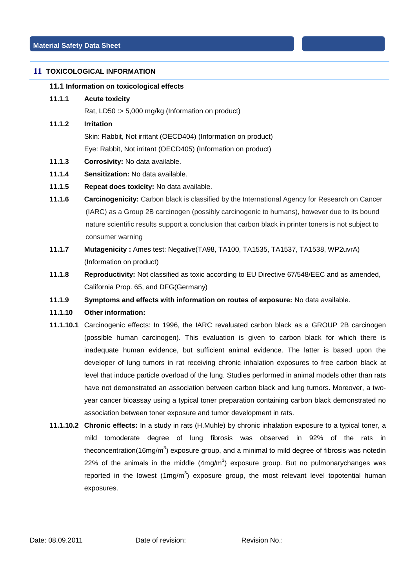## **11 TOXICOLOGICAL INFORMATION**

#### **11.1 Information on toxicological effects**

**11.1.1 Acute toxicity**

Rat, LD50 :> 5,000 mg/kg (Information on product)

#### **11.1.2 Irritation**

Skin: Rabbit, Not irritant (OECD404) (Information on product)

Eye: Rabbit, Not irritant (OECD405) (Information on product)

- **11.1.3 Corrosivity:** No data available.
- **11.1.4 Sensitization:** No data available.
- **11.1.5 Repeat does toxicity:** No data available.
- **11.1.6 Carcinogenicity:** Carbon black is classified by the International Agency for Research on Cancer (IARC) as a Group 2B carcinogen (possibly carcinogenic to humans), however due to its bound nature scientific results support a conclusion that carbon black in printer toners is not subject to consumer warning
- **11.1.7 Mutagenicity :** Ames test: Negative(TA98, TA100, TA1535, TA1537, TA1538, WP2uvrA) (Information on product)
- **11.1.8 Reproductivity:** Not classified as toxic according to EU Directive 67/548/EEC and as amended, California Prop. 65, and DFG(Germany)
- **11.1.9 Symptoms and effects with information on routes of exposure:** No data available.

## **11.1.10 Other information:**

- **11.1.10.1** Carcinogenic effects: In 1996, the IARC revaluated carbon black as a GROUP 2B carcinogen (possible human carcinogen). This evaluation is given to carbon black for which there is inadequate human evidence, but sufficient animal evidence. The latter is based upon the developer of lung tumors in rat receiving chronic inhalation exposures to free carbon black at level that induce particle overload of the lung. Studies performed in animal models other than rats have not demonstrated an association between carbon black and lung tumors. Moreover, a twoyear cancer bioassay using a typical toner preparation containing carbon black demonstrated no association between toner exposure and tumor development in rats.
- **11.1.10.2 Chronic effects:** In a study in rats (H.Muhle) by chronic inhalation exposure to a typical toner, a mild tomoderate degree of lung fibrosis was observed in 92% of the rats in theconcentration(16mg/m<sup>3</sup>) exposure group, and a minimal to mild degree of fibrosis was notedin 22% of the animals in the middle  $(4mg/m<sup>3</sup>)$  exposure group. But no pulmonarychanges was reported in the lowest  $(1mg/m^3)$  exposure group, the most relevant level topotential human exposures.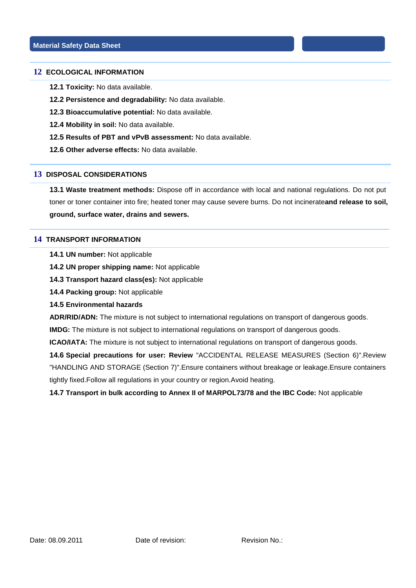#### **12 ECOLOGICAL INFORMATION**

**12.1 Toxicity:** No data available.

- **12.2 Persistence and degradability:** No data available.
- **12.3 Bioaccumulative potential:** No data available.
- **12.4 Mobility in soil:** No data available.
- **12.5 Results of PBT and vPvB assessment:** No data available.
- **12.6 Other adverse effects:** No data available.

#### **13 DISPOSAL CONSIDERATIONS**

**13.1 Waste treatment methods:** Dispose off in accordance with local and national regulations. Do not put toner or toner container into fire; heated toner may cause severe burns. Do not incinerate**and release to soil, ground, surface water, drains and sewers.**

## **14 TRANSPORT INFORMATION**

**14.1 UN number:** Not applicable

**14.2 UN proper shipping name:** Not applicable

**14.3 Transport hazard class(es):** Not applicable

**14.4 Packing group:** Not applicable

#### **14.5 Environmental hazards**

**ADR/RID/ADN:** The mixture is not subject to international regulations on transport of dangerous goods.

**IMDG:** The mixture is not subject to international regulations on transport of dangerous goods.

**ICAO/IATA:** The mixture is not subject to international regulations on transport of dangerous goods.

**14.6 Special precautions for user: Review** "ACCIDENTAL RELEASE MEASURES (Section 6)".Review "HANDLING AND STORAGE (Section 7)".Ensure containers without breakage or leakage.Ensure containers tightly fixed.Follow all regulations in your country or region.Avoid heating.

**14.7 Transport in bulk according to Annex II of MARPOL73/78 and the IBC Code:** Not applicable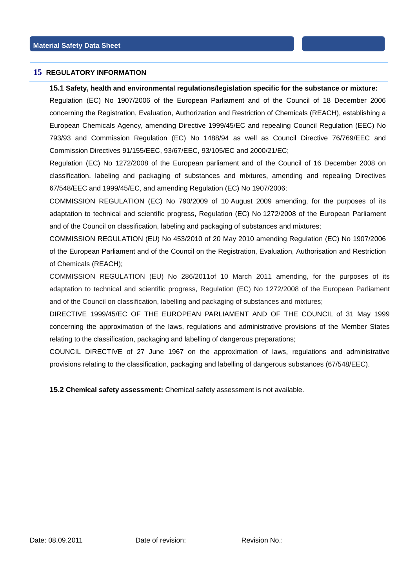## **15 REGULATORY INFORMATION**

#### **15.1 Safety, health and environmental regulations/legislation specific for the substance or mixture:**

Regulation (EC) No 1907/2006 of the European Parliament and of the Council of 18 December 2006 concerning the Registration, Evaluation, Authorization and Restriction of Chemicals (REACH), establishing a European Chemicals Agency, amending Directive 1999/45/EC and repealing Council Regulation (EEC) No 793/93 and Commission Regulation (EC) No 1488/94 as well as Council Directive 76/769/EEC and Commission Directives 91/155/EEC, 93/67/EEC, 93/105/EC and 2000/21/EC;

Regulation (EC) No 1272/2008 of the European parliament and of the Council of 16 December 2008 on classification, labeling and packaging of substances and mixtures, amending and repealing Directives 67/548/EEC and 1999/45/EC, and amending Regulation (EC) No 1907/2006;

COMMISSION REGULATION (EC) No 790/2009 of 10 August 2009 amending, for the purposes of its adaptation to technical and scientific progress, Regulation (EC) No 1272/2008 of the European Parliament and of the Council on classification, labeling and packaging of substances and mixtures;

COMMISSION REGULATION (EU) No 453/2010 of 20 May 2010 amending Regulation (EC) No 1907/2006 of the European Parliament and of the Council on the Registration, Evaluation, Authorisation and Restriction of Chemicals (REACH);

COMMISSION REGULATION (EU) No 286/2011of 10 March 2011 amending, for the purposes of its adaptation to technical and scientific progress, Regulation (EC) No 1272/2008 of the European Parliament and of the Council on classification, labelling and packaging of substances and mixtures;

DIRECTIVE 1999/45/EC OF THE EUROPEAN PARLIAMENT AND OF THE COUNCIL of 31 May 1999 concerning the approximation of the laws, regulations and administrative provisions of the Member States relating to the classification, packaging and labelling of dangerous preparations;

COUNCIL DIRECTIVE of 27 June 1967 on the approximation of laws, regulations and administrative provisions relating to the classification, packaging and labelling of dangerous substances (67/548/EEC).

**15.2 Chemical safety assessment:** Chemical safety assessment is not available.